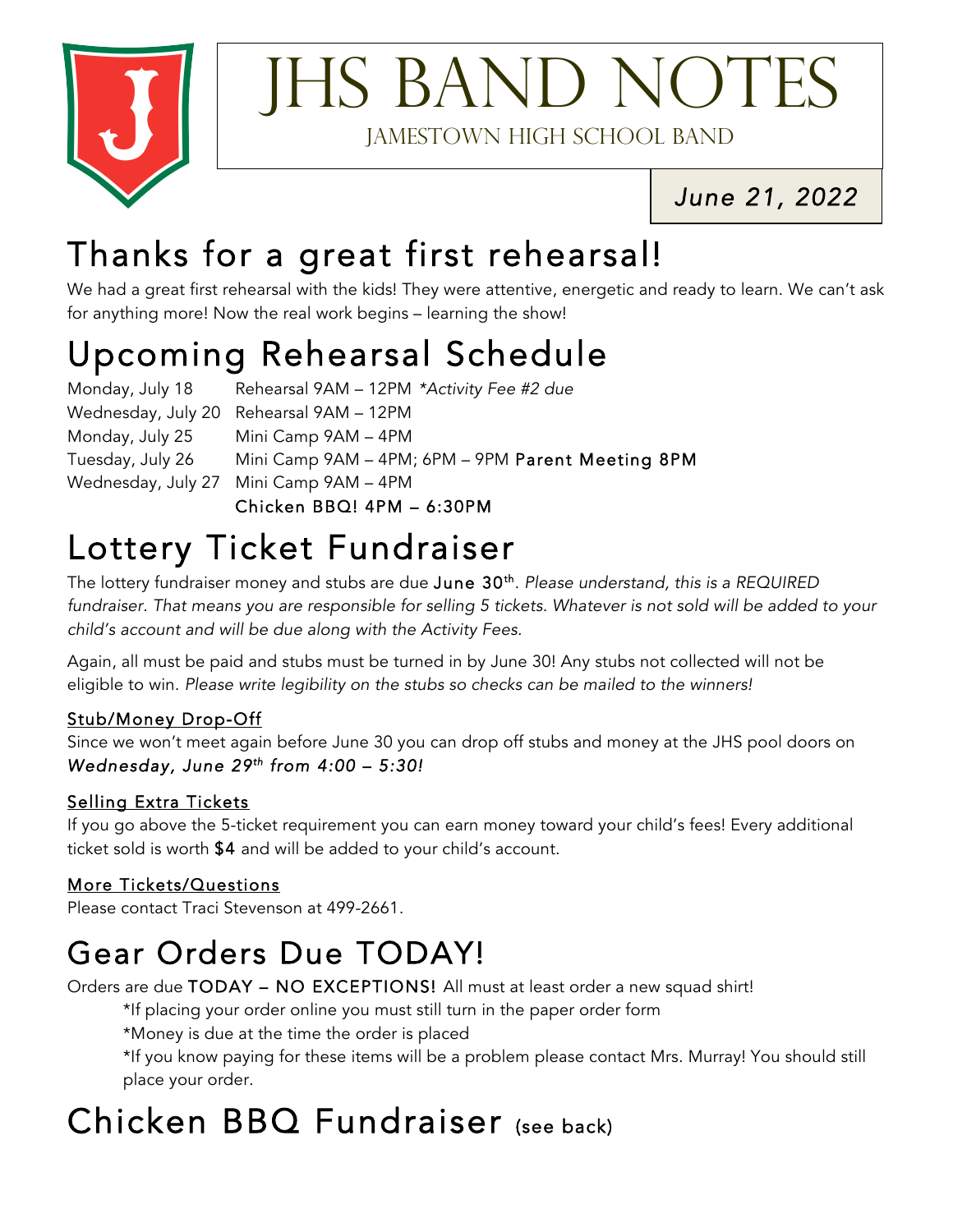

# **IHS BAND NOTES**

Jamestown High School Band

*June 21, 2022* 

### Thanks for a great first rehearsal!

We had a great first rehearsal with the kids! They were attentive, energetic and ready to learn. We can't ask for anything more! Now the real work begins – learning the show!

## Upcoming Rehearsal Schedule Monday, July 18 Rehearsal 9AM – 12PM *\*Activity Fee #2 due*

Wednesday, July 20 Rehearsal 9AM – 12PM Monday, July 25 Mini Camp 9AM – 4PM Tuesday, July 26 Mini Camp 9AM – 4PM; 6PM – 9PM Parent Meeting 8PM Wednesday, July 27 Mini Camp 9AM – 4PM Chicken BBQ! 4PM – 6:30PM

## Lottery Ticket Fundraiser The lotter of the lottery fundration only and stubs are due June 30<sup>th</sup>. *Please understand, this is a REQUIRED Realoute By a REQUIRED*

*fundraiser. That means you are responsible for selling 5 tickets. Whatever is not sold will be added to your child's account and will be due along with the Activity Fees.*

Again, all must be paid and stubs must be turned in by June 30! Any stubs not collected will not be eligible to win. *Please write legibility on the stubs so checks can be mailed to the winners!*

#### Stub/Money Drop-Off

Since we won't meet again before June 30 you can drop off stubs and money at the JHS pool doors on *Wednesday, June 29th from 4:00 – 5:30!*

#### Selling Extra Tickets

If you go above the 5-ticket requirement you can earn money toward your child's fees! Every additional ticket sold is worth \$4 and will be added to your child's account.

#### More Tickets/Questions

Please contact Traci Stevenson at 499-2661.

### Gear Orders Due TODAY!<br>Orders are due TODAY – NO EXCEPTIONS! All must at least order a new squad shirt!

\*If placing your order online you must still turn in the paper order form

\*Money is due at the time the order is placed

\*If you know paying for these items will be a problem please contact Mrs. Murray! You should still place your order.

#### Chicken BBQ Fundraiser (see back)